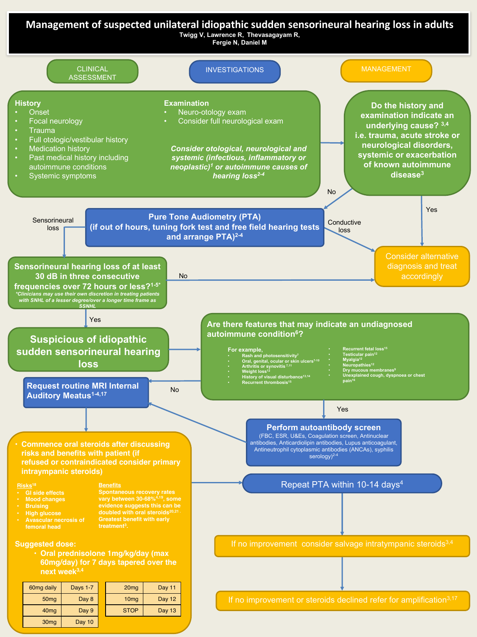

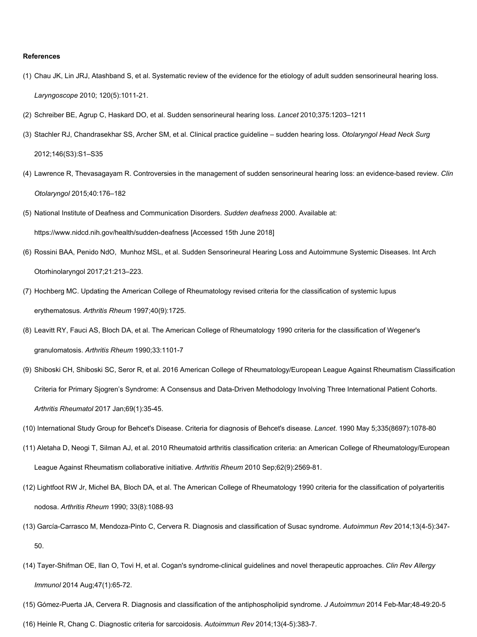## **References**

- (1) Chau JK, Lin JRJ, Atashband S, et al. Systematic review of the evidence for the etiology of adult sudden sensorineural hearing loss. *Laryngoscope* 2010; 120(5):1011-21.
- (2) Schreiber BE, Agrup C, Haskard DO, et al. Sudden sensorineural hearing loss. *Lancet* 2010;375:1203–1211
- (3) Stachler RJ, Chandrasekhar SS, Archer SM, et al. Clinical practice guideline sudden hearing loss. *Otolaryngol Head Neck Surg*  2012;146(S3):S1–S35
- (4) Lawrence R, Thevasagayam R. Controversies in the management of sudden sensorineural hearing loss: an evidence-based review. *Clin Otolaryngol* 2015;40:176–182
- (5) National Institute of Deafness and Communication Disorders. *Sudden deafness* 2000. Available at: https://www.nidcd.nih.gov/health/sudden-deafness [Accessed 15th June 2018]
- (6) Rossini BAA, Penido NdO, Munhoz MSL, et al. Sudden Sensorineural Hearing Loss and Autoimmune Systemic Diseases. Int Arch Otorhinolaryngol 2017;21:213–223.
- (7) Hochberg MC. Updating the American College of Rheumatology revised criteria for the classification of systemic lupus erythematosus. *Arthritis Rheum* 1997;40(9):1725.
- (8) Leavitt RY, Fauci AS, Bloch DA, et al. The American College of Rheumatology 1990 criteria for the classification of Wegener's granulomatosis. *Arthritis Rheum* 1990;33:1101-7
- (9) Shiboski CH, Shiboski SC, Seror R, et al. 2016 American College of Rheumatology/European League Against Rheumatism Classification Criteria for Primary Sjogren's Syndrome: A Consensus and Data-Driven Methodology Involving Three International Patient Cohorts. *Arthritis Rheumatol* 2017 Jan;69(1):35-45.
- (10) International Study Group for Behcet's Disease. Criteria for diagnosis of Behcet's disease. *Lancet*. 1990 May 5;335(8697):1078-80
- (11) Aletaha D, Neogi T, Silman AJ, et al. 2010 Rheumatoid arthritis classification criteria: an American College of Rheumatology/European League Against Rheumatism collaborative initiative. *Arthritis Rheum* 2010 Sep;62(9):2569-81.
- (12) Lightfoot RW Jr, Michel BA, Bloch DA, et al. The American College of Rheumatology 1990 criteria for the classification of polyarteritis nodosa. *Arthritis Rheum* 1990; 33(8):1088-93
- (13) García-Carrasco M, Mendoza-Pinto C, Cervera R. Diagnosis and classification of Susac syndrome. *Autoimmun Rev* 2014;13(4-5):347- 50.
- (14) Tayer-Shifman OE, Ilan O, Tovi H, et al. Cogan's syndrome-clinical guidelines and novel therapeutic approaches. *Clin Rev Allergy Immunol* 2014 Aug;47(1):65-72.
- (15) Gómez-Puerta JA, Cervera R. Diagnosis and classification of the antiphospholipid syndrome. *J Autoimmun* 2014 Feb-Mar;48-49:20-5
- (16) Heinle R, Chang C. Diagnostic criteria for sarcoidosis. *Autoimmun Rev* 2014;13(4-5):383-7.